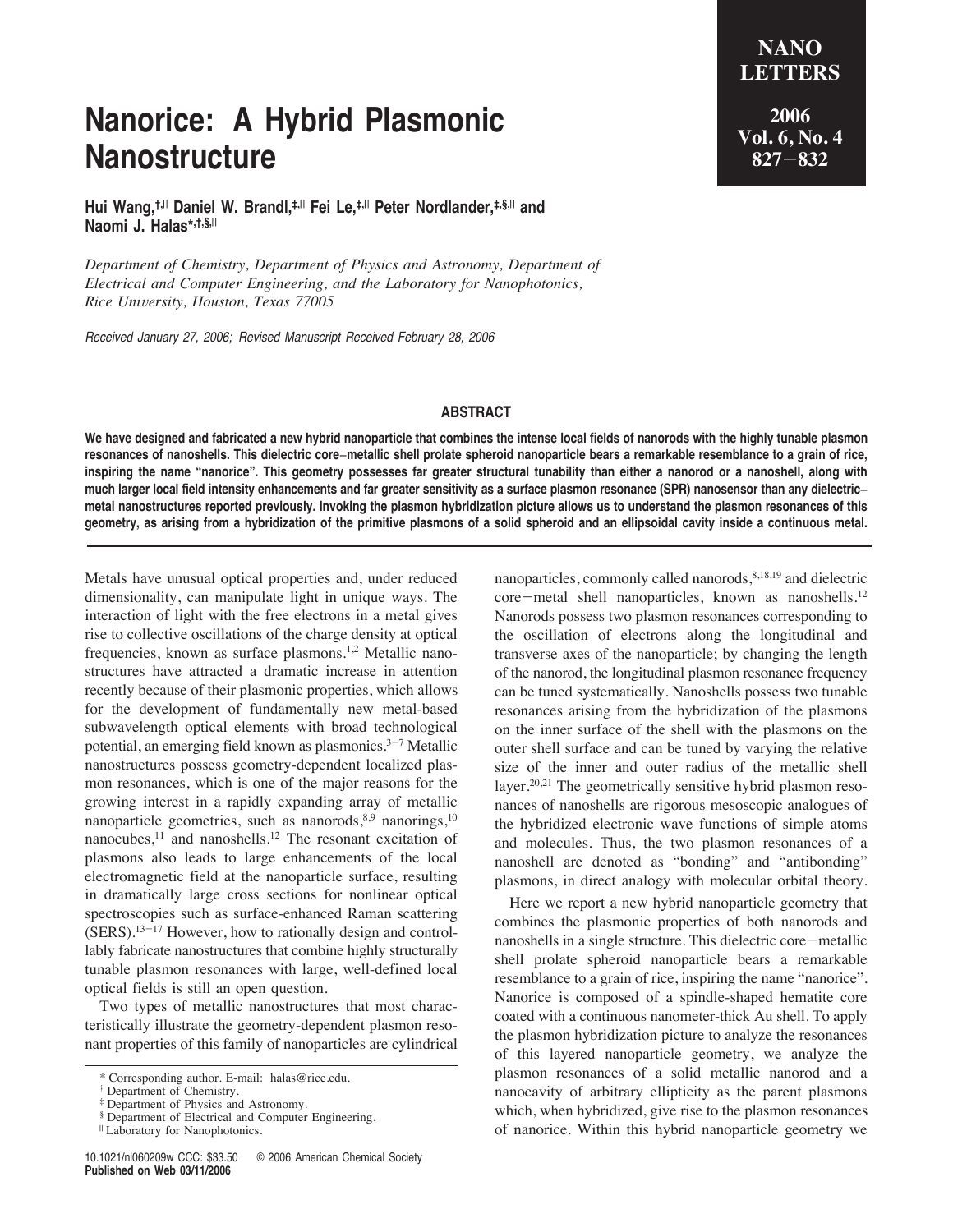# **Nanorice: A Hybrid Plasmonic Nanostructure**

**Hui Wang,†,**<sup>|</sup> **Daniel W. Brandl,‡,**<sup>|</sup> **Fei Le,‡,**<sup>|</sup> **Peter Nordlander,‡,§,**<sup>|</sup> **and Naomi J. Halas\*,†,§,**<sup>|</sup>

*Department of Chemistry, Department of Physics and Astronomy, Department of Electrical and Computer Engineering, and the Laboratory for Nanophotonics, Rice University, Houston, Texas 77005* 

Received January 27, 2006; Revised Manuscript Received February 28, 2006

### **ABSTRACT**

**We have designed and fabricated a new hybrid nanoparticle that combines the intense local fields of nanorods with the highly tunable plasmon resonances of nanoshells. This dielectric core**−**metallic shell prolate spheroid nanoparticle bears a remarkable resemblance to a grain of rice, inspiring the name "nanorice". This geometry possesses far greater structural tunability than either a nanorod or a nanoshell, along with much larger local field intensity enhancements and far greater sensitivity as a surface plasmon resonance (SPR) nanosensor than any dielectric**− **metal nanostructures reported previously. Invoking the plasmon hybridization picture allows us to understand the plasmon resonances of this geometry, as arising from a hybridization of the primitive plasmons of a solid spheroid and an ellipsoidal cavity inside a continuous metal.**

Metals have unusual optical properties and, under reduced dimensionality, can manipulate light in unique ways. The interaction of light with the free electrons in a metal gives rise to collective oscillations of the charge density at optical frequencies, known as surface plasmons.1,2 Metallic nanostructures have attracted a dramatic increase in attention recently because of their plasmonic properties, which allows for the development of fundamentally new metal-based subwavelength optical elements with broad technological potential, an emerging field known as plasmonics. $3-7$  Metallic nanostructures possess geometry-dependent localized plasmon resonances, which is one of the major reasons for the growing interest in a rapidly expanding array of metallic nanoparticle geometries, such as nanorods, 8,9 nanorings, 10 nanocubes,<sup>11</sup> and nanoshells.<sup>12</sup> The resonant excitation of plasmons also leads to large enhancements of the local electromagnetic field at the nanoparticle surface, resulting in dramatically large cross sections for nonlinear optical spectroscopies such as surface-enhanced Raman scattering  $(SERS)$ .<sup>13-17</sup> However, how to rationally design and controllably fabricate nanostructures that combine highly structurally tunable plasmon resonances with large, well-defined local optical fields is still an open question.

Two types of metallic nanostructures that most characteristically illustrate the geometry-dependent plasmon resonant properties of this family of nanoparticles are cylindrical nanoparticles, commonly called nanorods, 8,18,19 and dielectric core-metal shell nanoparticles, known as nanoshells.<sup>12</sup> Nanorods possess two plasmon resonances corresponding to the oscillation of electrons along the longitudinal and transverse axes of the nanoparticle; by changing the length of the nanorod, the longitudinal plasmon resonance frequency can be tuned systematically. Nanoshells possess two tunable resonances arising from the hybridization of the plasmons on the inner surface of the shell with the plasmons on the outer shell surface and can be tuned by varying the relative size of the inner and outer radius of the metallic shell layer.<sup>20,21</sup> The geometrically sensitive hybrid plasmon resonances of nanoshells are rigorous mesoscopic analogues of the hybridized electronic wave functions of simple atoms and molecules. Thus, the two plasmon resonances of a nanoshell are denoted as "bonding" and "antibonding" plasmons, in direct analogy with molecular orbital theory.

Here we report a new hybrid nanoparticle geometry that combines the plasmonic properties of both nanorods and nanoshells in a single structure. This dielectric core-metallic shell prolate spheroid nanoparticle bears a remarkable resemblance to a grain of rice, inspiring the name "nanorice". Nanorice is composed of a spindle-shaped hematite core coated with a continuous nanometer-thick Au shell. To apply the plasmon hybridization picture to analyze the resonances of this layered nanoparticle geometry, we analyze the plasmon resonances of a solid metallic nanorod and a nanocavity of arbitrary ellipticity as the parent plasmons which, when hybridized, give rise to the plasmon resonances of nanorice. Within this hybrid nanoparticle geometry we

**2006 Vol. 6, No. 4 827**-**832**

**NANO LETTERS**

<sup>\*</sup> Corresponding author. E-mail: halas@rice.edu.

<sup>†</sup> Department of Chemistry.

<sup>‡</sup> Department of Physics and Astronomy.

<sup>§</sup> Department of Electrical and Computer Engineering.

<sup>|</sup> Laboratory for Nanophotonics.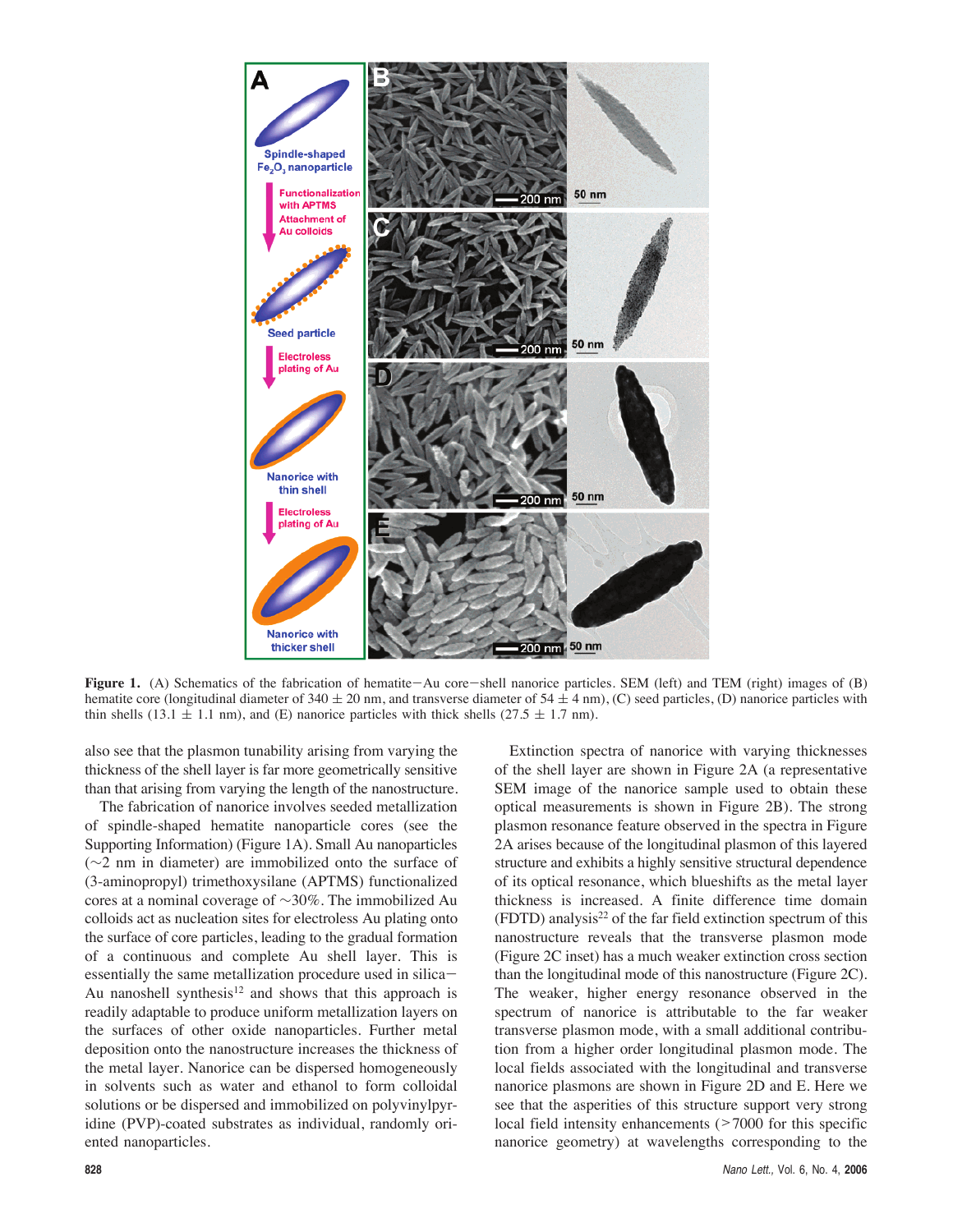

Figure 1. (A) Schematics of the fabrication of hematite-Au core-shell nanorice particles. SEM (left) and TEM (right) images of (B) hematite core (longitudinal diameter of 340  $\pm$  20 nm, and transverse diameter of 54  $\pm$  4 nm), (C) seed particles, (D) nanorice particles with thin shells (13.1  $\pm$  1.1 nm), and (E) nanorice particles with thick shells (27.5  $\pm$  1.7 nm).

also see that the plasmon tunability arising from varying the thickness of the shell layer is far more geometrically sensitive than that arising from varying the length of the nanostructure.

The fabrication of nanorice involves seeded metallization of spindle-shaped hematite nanoparticle cores (see the Supporting Information) (Figure 1A). Small Au nanoparticles (∼2 nm in diameter) are immobilized onto the surface of (3-aminopropyl) trimethoxysilane (APTMS) functionalized cores at a nominal coverage of ∼30%. The immobilized Au colloids act as nucleation sites for electroless Au plating onto the surface of core particles, leading to the gradual formation of a continuous and complete Au shell layer. This is essentially the same metallization procedure used in silica-Au nanoshell synthesis<sup>12</sup> and shows that this approach is readily adaptable to produce uniform metallization layers on the surfaces of other oxide nanoparticles. Further metal deposition onto the nanostructure increases the thickness of the metal layer. Nanorice can be dispersed homogeneously in solvents such as water and ethanol to form colloidal solutions or be dispersed and immobilized on polyvinylpyridine (PVP)-coated substrates as individual, randomly oriented nanoparticles.

Extinction spectra of nanorice with varying thicknesses of the shell layer are shown in Figure 2A (a representative SEM image of the nanorice sample used to obtain these optical measurements is shown in Figure 2B). The strong plasmon resonance feature observed in the spectra in Figure 2A arises because of the longitudinal plasmon of this layered structure and exhibits a highly sensitive structural dependence of its optical resonance, which blueshifts as the metal layer thickness is increased. A finite difference time domain  $(FDTD)$  analysis<sup>22</sup> of the far field extinction spectrum of this nanostructure reveals that the transverse plasmon mode (Figure 2C inset) has a much weaker extinction cross section than the longitudinal mode of this nanostructure (Figure 2C). The weaker, higher energy resonance observed in the spectrum of nanorice is attributable to the far weaker transverse plasmon mode, with a small additional contribution from a higher order longitudinal plasmon mode. The local fields associated with the longitudinal and transverse nanorice plasmons are shown in Figure 2D and E. Here we see that the asperities of this structure support very strong local field intensity enhancements  $(27000)$  for this specific nanorice geometry) at wavelengths corresponding to the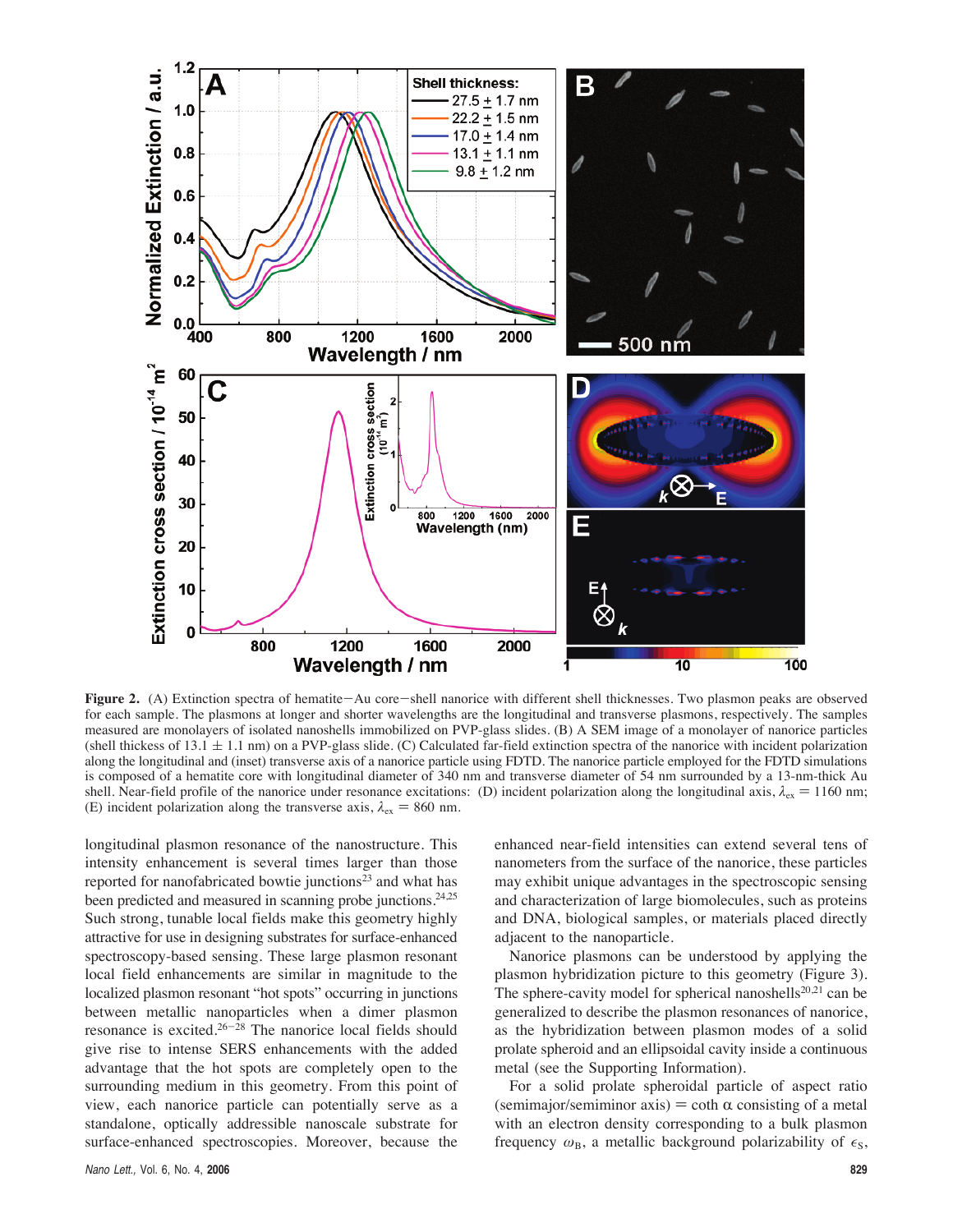

**Figure 2.** (A) Extinction spectra of hematite-Au core-shell nanorice with different shell thicknesses. Two plasmon peaks are observed for each sample. The plasmons at longer and shorter wavelengths are the longitudinal and transverse plasmons, respectively. The samples measured are monolayers of isolated nanoshells immobilized on PVP-glass slides. (B) A SEM image of a monolayer of nanorice particles (shell thickess of  $13.1 \pm 1.1$  nm) on a PVP-glass slide. (C) Calculated far-field extinction spectra of the nanorice with incident polarization along the longitudinal and (inset) transverse axis of a nanorice particle using FDTD. The nanorice particle employed for the FDTD simulations is composed of a hematite core with longitudinal diameter of 340 nm and transverse diameter of 54 nm surrounded by a 13-nm-thick Au shell. Near-field profile of the nanorice under resonance excitations: (D) incident polarization along the longitudinal axis,  $\lambda_{ex} = 1160$  nm; (E) incident polarization along the transverse axis,  $\lambda_{ex} = 860$  nm.

longitudinal plasmon resonance of the nanostructure. This intensity enhancement is several times larger than those reported for nanofabricated bowtie junctions<sup>23</sup> and what has been predicted and measured in scanning probe junctions.<sup>24,25</sup> Such strong, tunable local fields make this geometry highly attractive for use in designing substrates for surface-enhanced spectroscopy-based sensing. These large plasmon resonant local field enhancements are similar in magnitude to the localized plasmon resonant "hot spots" occurring in junctions between metallic nanoparticles when a dimer plasmon resonance is excited.26-<sup>28</sup> The nanorice local fields should give rise to intense SERS enhancements with the added advantage that the hot spots are completely open to the surrounding medium in this geometry. From this point of view, each nanorice particle can potentially serve as a standalone, optically addressible nanoscale substrate for surface-enhanced spectroscopies. Moreover, because the

enhanced near-field intensities can extend several tens of nanometers from the surface of the nanorice, these particles may exhibit unique advantages in the spectroscopic sensing and characterization of large biomolecules, such as proteins and DNA, biological samples, or materials placed directly adjacent to the nanoparticle.

Nanorice plasmons can be understood by applying the plasmon hybridization picture to this geometry (Figure 3). The sphere-cavity model for spherical nanoshells<sup>20,21</sup> can be generalized to describe the plasmon resonances of nanorice, as the hybridization between plasmon modes of a solid prolate spheroid and an ellipsoidal cavity inside a continuous metal (see the Supporting Information).

For a solid prolate spheroidal particle of aspect ratio (semimajor/semiminor axis)  $= \coth \alpha$  consisting of a metal with an electron density corresponding to a bulk plasmon frequency  $\omega_B$ , a metallic background polarizability of  $\epsilon_S$ ,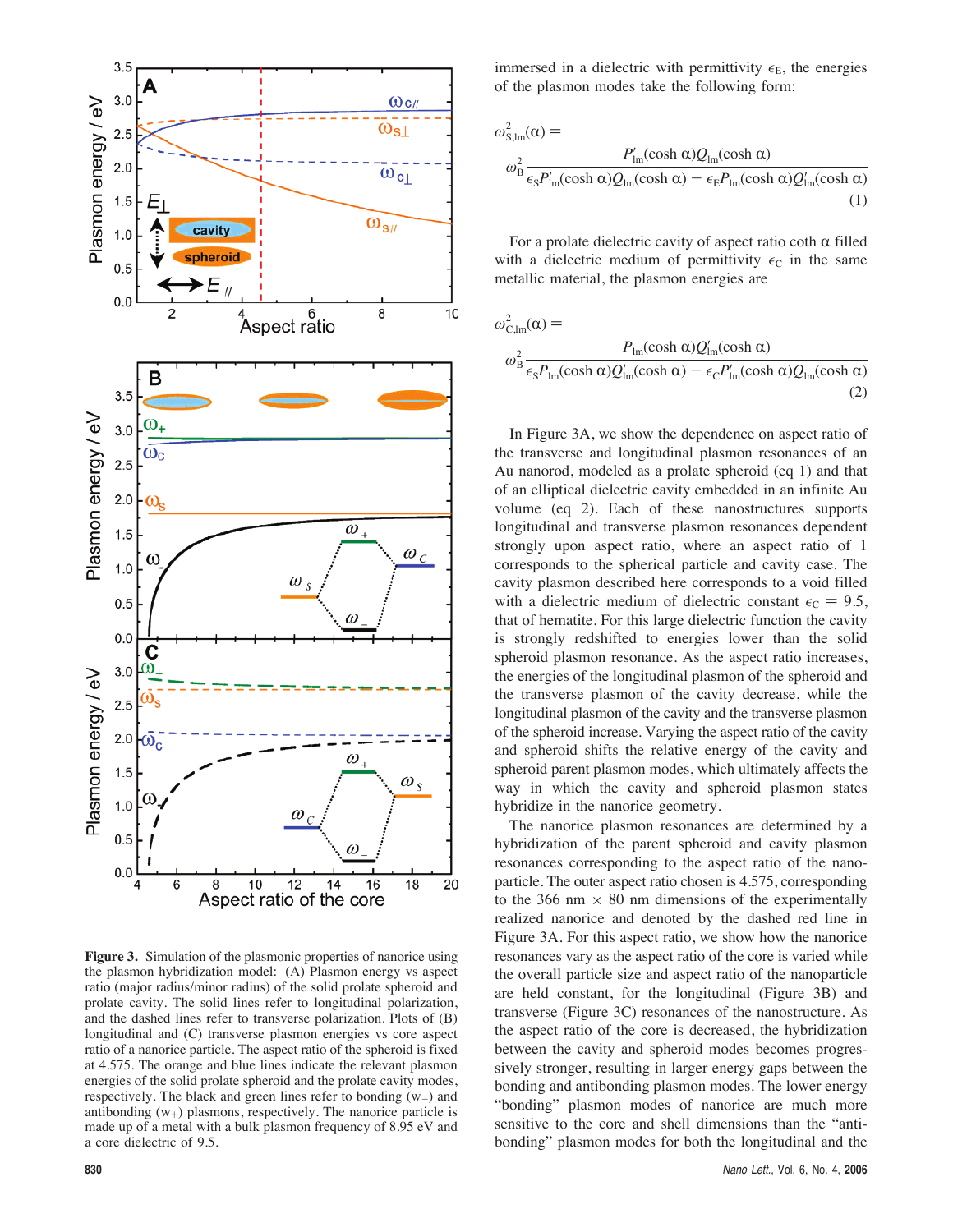

**Figure 3.** Simulation of the plasmonic properties of nanorice using the plasmon hybridization model: (A) Plasmon energy vs aspect ratio (major radius/minor radius) of the solid prolate spheroid and prolate cavity. The solid lines refer to longitudinal polarization, and the dashed lines refer to transverse polarization. Plots of (B) longitudinal and (C) transverse plasmon energies vs core aspect ratio of a nanorice particle. The aspect ratio of the spheroid is fixed at 4.575. The orange and blue lines indicate the relevant plasmon energies of the solid prolate spheroid and the prolate cavity modes, respectively. The black and green lines refer to bonding (w-) and antibonding  $(w<sub>+</sub>)$  plasmons, respectively. The nanorice particle is made up of a metal with a bulk plasmon frequency of 8.95 eV and a core dielectric of 9.5.

$$
\omega_{\rm S,lm}^2(\alpha) =
$$
\n
$$
\omega_{\rm B}^2 \frac{P_{\rm lm}^{\prime}(\cosh \alpha)Q_{\rm lm}(\cosh \alpha)}{\epsilon_{\rm S}P_{\rm lm}^{\prime}(\cosh \alpha)Q_{\rm lm}(\cosh \alpha) - \epsilon_{\rm E}P_{\rm lm}(\cosh \alpha)Q_{\rm lm}^{\prime}(\cosh \alpha)}
$$
\n(1)

For a prolate dielectric cavity of aspect ratio coth  $\alpha$  filled with a dielectric medium of permittivity  $\epsilon_C$  in the same metallic material, the plasmon energies are

$$
\omega_{\text{C,lm}}^2(\alpha) =
$$
\n
$$
\omega_B^2 \frac{P_{\text{lm}}(\cosh \alpha)Q'_{\text{lm}}(\cosh \alpha)}{\epsilon_s P_{\text{lm}}(\cosh \alpha)Q'_{\text{lm}}(\cosh \alpha) - \epsilon_c P'_{\text{lm}}(\cosh \alpha)Q_{\text{lm}}(\cosh \alpha)}
$$
\n(2)

In Figure 3A, we show the dependence on aspect ratio of the transverse and longitudinal plasmon resonances of an Au nanorod, modeled as a prolate spheroid (eq 1) and that of an elliptical dielectric cavity embedded in an infinite Au volume (eq 2). Each of these nanostructures supports longitudinal and transverse plasmon resonances dependent strongly upon aspect ratio, where an aspect ratio of 1 corresponds to the spherical particle and cavity case. The cavity plasmon described here corresponds to a void filled with a dielectric medium of dielectric constant  $\epsilon_C = 9.5$ , that of hematite. For this large dielectric function the cavity is strongly redshifted to energies lower than the solid spheroid plasmon resonance. As the aspect ratio increases, the energies of the longitudinal plasmon of the spheroid and the transverse plasmon of the cavity decrease, while the longitudinal plasmon of the cavity and the transverse plasmon of the spheroid increase. Varying the aspect ratio of the cavity and spheroid shifts the relative energy of the cavity and spheroid parent plasmon modes, which ultimately affects the way in which the cavity and spheroid plasmon states hybridize in the nanorice geometry.

The nanorice plasmon resonances are determined by a hybridization of the parent spheroid and cavity plasmon resonances corresponding to the aspect ratio of the nanoparticle. The outer aspect ratio chosen is 4.575, corresponding to the 366 nm  $\times$  80 nm dimensions of the experimentally realized nanorice and denoted by the dashed red line in Figure 3A. For this aspect ratio, we show how the nanorice resonances vary as the aspect ratio of the core is varied while the overall particle size and aspect ratio of the nanoparticle are held constant, for the longitudinal (Figure 3B) and transverse (Figure 3C) resonances of the nanostructure. As the aspect ratio of the core is decreased, the hybridization between the cavity and spheroid modes becomes progressively stronger, resulting in larger energy gaps between the bonding and antibonding plasmon modes. The lower energy "bonding" plasmon modes of nanorice are much more sensitive to the core and shell dimensions than the "antibonding" plasmon modes for both the longitudinal and the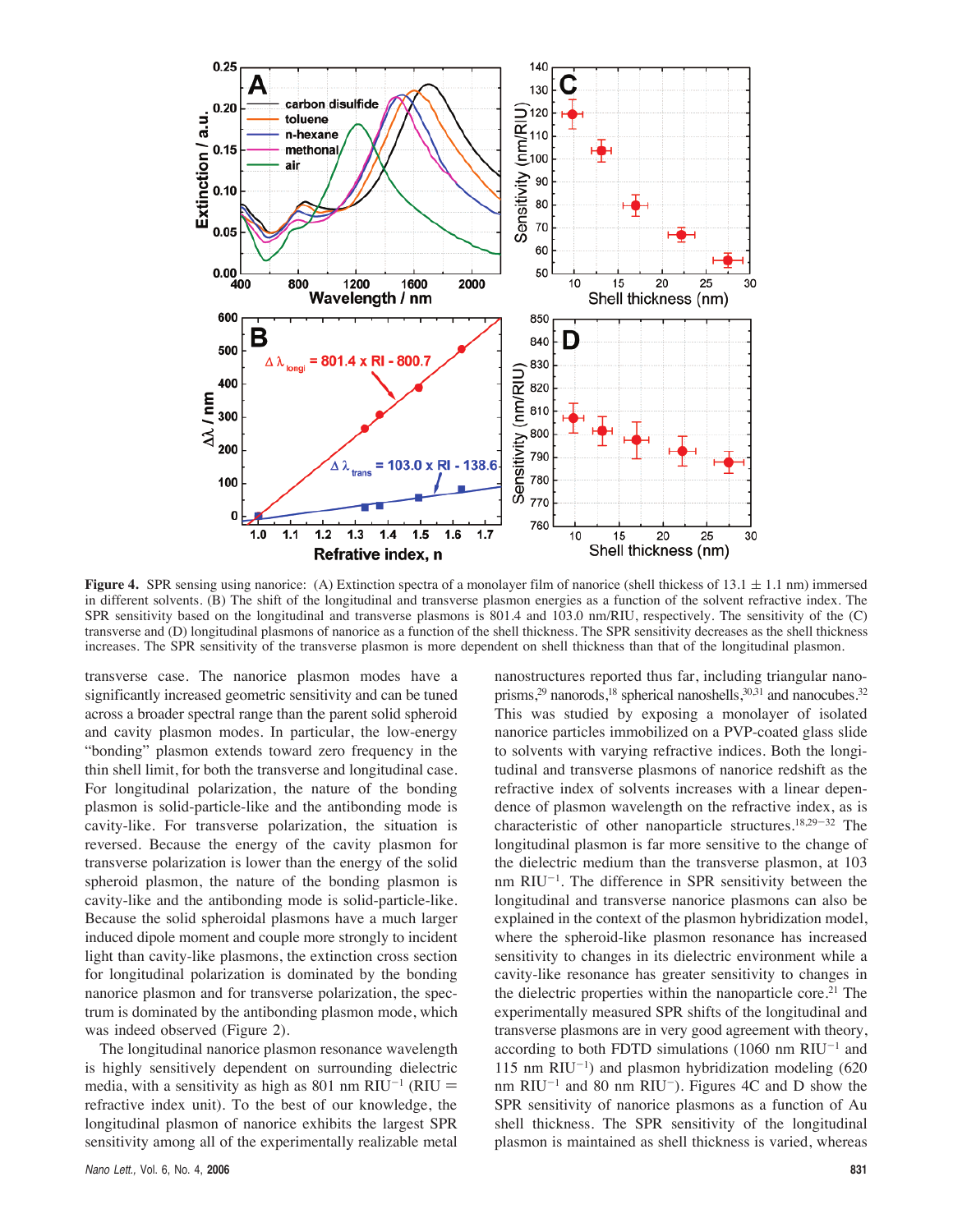

**Figure 4.** SPR sensing using nanorice: (A) Extinction spectra of a monolayer film of nanorice (shell thickess of  $13.1 \pm 1.1$  nm) immersed in different solvents. (B) The shift of the longitudinal and transverse plasmon energies as a function of the solvent refractive index. The SPR sensitivity based on the longitudinal and transverse plasmons is 801.4 and 103.0 nm/RIU, respectively. The sensitivity of the (C) transverse and (D) longitudinal plasmons of nanorice as a function of the shell thickness. The SPR sensitivity decreases as the shell thickness increases. The SPR sensitivity of the transverse plasmon is more dependent on shell thickness than that of the longitudinal plasmon.

transverse case. The nanorice plasmon modes have a significantly increased geometric sensitivity and can be tuned across a broader spectral range than the parent solid spheroid and cavity plasmon modes. In particular, the low-energy "bonding" plasmon extends toward zero frequency in the thin shell limit, for both the transverse and longitudinal case. For longitudinal polarization, the nature of the bonding plasmon is solid-particle-like and the antibonding mode is cavity-like. For transverse polarization, the situation is reversed. Because the energy of the cavity plasmon for transverse polarization is lower than the energy of the solid spheroid plasmon, the nature of the bonding plasmon is cavity-like and the antibonding mode is solid-particle-like. Because the solid spheroidal plasmons have a much larger induced dipole moment and couple more strongly to incident light than cavity-like plasmons, the extinction cross section for longitudinal polarization is dominated by the bonding nanorice plasmon and for transverse polarization, the spectrum is dominated by the antibonding plasmon mode, which was indeed observed (Figure 2).

The longitudinal nanorice plasmon resonance wavelength is highly sensitively dependent on surrounding dielectric media, with a sensitivity as high as 801 nm RIU<sup>-1</sup> (RIU = refractive index unit). To the best of our knowledge, the longitudinal plasmon of nanorice exhibits the largest SPR sensitivity among all of the experimentally realizable metal

nanostructures reported thus far, including triangular nanoprisms, $2^9$  nanorods, $1^8$  spherical nanoshells, $3^{0,31}$  and nanocubes. $3^2$ This was studied by exposing a monolayer of isolated nanorice particles immobilized on a PVP-coated glass slide to solvents with varying refractive indices. Both the longitudinal and transverse plasmons of nanorice redshift as the refractive index of solvents increases with a linear dependence of plasmon wavelength on the refractive index, as is characteristic of other nanoparticle structures.<sup>18,29-32</sup> The longitudinal plasmon is far more sensitive to the change of the dielectric medium than the transverse plasmon, at 103 nm RIU<sup>-1</sup>. The difference in SPR sensitivity between the longitudinal and transverse nanorice plasmons can also be explained in the context of the plasmon hybridization model, where the spheroid-like plasmon resonance has increased sensitivity to changes in its dielectric environment while a cavity-like resonance has greater sensitivity to changes in the dielectric properties within the nanoparticle core.<sup>21</sup> The experimentally measured SPR shifts of the longitudinal and transverse plasmons are in very good agreement with theory, according to both FDTD simulations  $(1060 \text{ nm} \text{ RIU}^{-1} \text{ and}$ 115 nm  $RIU^{-1}$ ) and plasmon hybridization modeling (620 nm  $RIU^{-1}$  and 80 nm  $RIU^{-}$ ). Figures 4C and D show the SPR sensitivity of nanorice plasmons as a function of Au shell thickness. The SPR sensitivity of the longitudinal plasmon is maintained as shell thickness is varied, whereas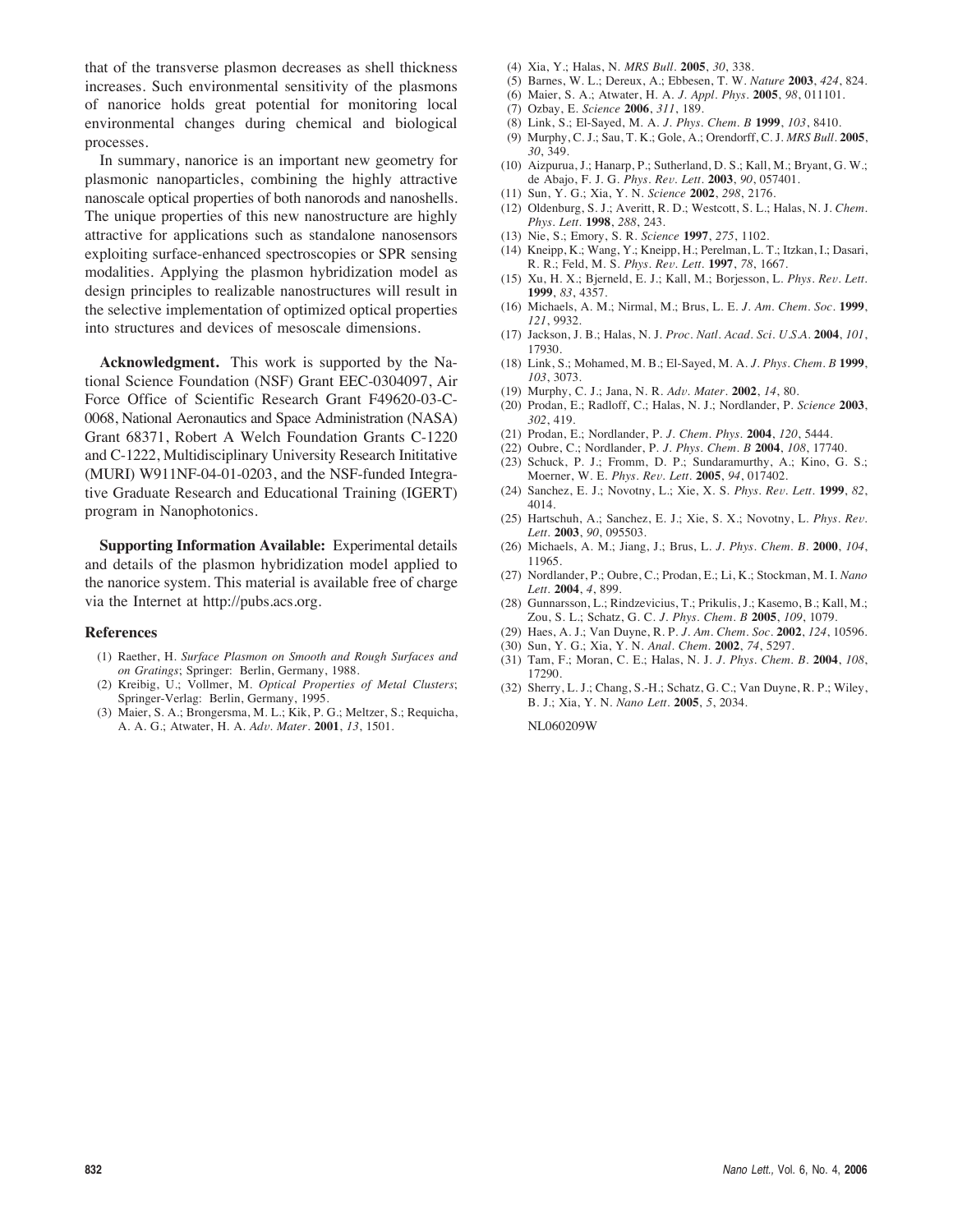that of the transverse plasmon decreases as shell thickness increases. Such environmental sensitivity of the plasmons of nanorice holds great potential for monitoring local environmental changes during chemical and biological processes.

In summary, nanorice is an important new geometry for plasmonic nanoparticles, combining the highly attractive nanoscale optical properties of both nanorods and nanoshells. The unique properties of this new nanostructure are highly attractive for applications such as standalone nanosensors exploiting surface-enhanced spectroscopies or SPR sensing modalities. Applying the plasmon hybridization model as design principles to realizable nanostructures will result in the selective implementation of optimized optical properties into structures and devices of mesoscale dimensions.

**Acknowledgment.** This work is supported by the National Science Foundation (NSF) Grant EEC-0304097, Air Force Office of Scientific Research Grant F49620-03-C-0068, National Aeronautics and Space Administration (NASA) Grant 68371, Robert A Welch Foundation Grants C-1220 and C-1222, Multidisciplinary University Research Inititative (MURI) W911NF-04-01-0203, and the NSF-funded Integrative Graduate Research and Educational Training (IGERT) program in Nanophotonics.

**Supporting Information Available:** Experimental details and details of the plasmon hybridization model applied to the nanorice system. This material is available free of charge via the Internet at http://pubs.acs.org.

#### **References**

- (1) Raether, H. *Surface Plasmon on Smooth and Rough Surfaces and on Gratings*; Springer: Berlin, Germany, 1988.
- (2) Kreibig, U.; Vollmer, M. *Optical Properties of Metal Clusters*; Springer-Verlag: Berlin, Germany, 1995.
- (3) Maier, S. A.; Brongersma, M. L.; Kik, P. G.; Meltzer, S.; Requicha, A. A. G.; Atwater, H. A. *Ad*V*. Mater.* **2001**, *13*, 1501.
- (4) Xia, Y.; Halas, N. *MRS Bull.* **2005**, *30*, 338.
- (5) Barnes, W. L.; Dereux, A.; Ebbesen, T. W. *Nature* **2003**, *424*, 824.
- (6) Maier, S. A.; Atwater, H. A. *J. Appl. Phys.* **2005**, *98*, 011101.
- (7) Ozbay, E. *Science* **2006**, *311*, 189.
- (8) Link, S.; El-Sayed, M. A. *J. Phys. Chem. B* **1999**, *103*, 8410.
- (9) Murphy, C. J.; Sau, T. K.; Gole, A.; Orendorff, C. J. *MRS Bull.* **2005**, *30*, 349.
- (10) Aizpurua, J.; Hanarp, P.; Sutherland, D. S.; Kall, M.; Bryant, G. W.; de Abajo, F. J. G. *Phys. Re*V*. Lett.* **2003**, *90*, 057401.
- (11) Sun, Y. G.; Xia, Y. N. *Science* **2002**, *298*, 2176.
- (12) Oldenburg, S. J.; Averitt, R. D.; Westcott, S. L.; Halas, N. J. *Chem. Phys. Lett.* **1998**, *288*, 243.
- (13) Nie, S.; Emory, S. R. *Science* **1997**, *275*, 1102.
- (14) Kneipp, K.; Wang, Y.; Kneipp, H.; Perelman, L. T.; Itzkan, I.; Dasari, R. R.; Feld, M. S. *Phys. Re*V*. Lett.* **1997**, *78*, 1667.
- (15) Xu, H. X.; Bjerneld, E. J.; Kall, M.; Borjesson, L. *Phys. Re*V*. Lett.* **1999**, *83*, 4357.
- (16) Michaels, A. M.; Nirmal, M.; Brus, L. E. *J. Am. Chem. Soc.* **1999**, *121*, 9932.
- (17) Jackson, J. B.; Halas, N. J. *Proc. Natl. Acad. Sci. U.S.A.* **2004**, *101*, 17930.
- (18) Link, S.; Mohamed, M. B.; El-Sayed, M. A. *J. Phys. Chem. B* **1999**, *103*, 3073.
- (19) Murphy, C. J.; Jana, N. R. *Ad*V*. Mater.* **2002**, *14*, 80.
- (20) Prodan, E.; Radloff, C.; Halas, N. J.; Nordlander, P. *Science* **2003**, *302*, 419.
- (21) Prodan, E.; Nordlander, P. *J. Chem. Phys.* **2004**, *120*, 5444.
- (22) Oubre, C.; Nordlander, P. *J. Phys. Chem. B* **2004**, *108*, 17740.
- (23) Schuck, P. J.; Fromm, D. P.; Sundaramurthy, A.; Kino, G. S.; Moerner, W. E. *Phys. Re*V*. Lett.* **2005**, *94*, 017402.
- (24) Sanchez, E. J.; Novotny, L.; Xie, X. S. *Phys. Re*V*. Lett.* **1999**, *82*, 4014.
- (25) Hartschuh, A.; Sanchez, E. J.; Xie, S. X.; Novotny, L. *Phys. Re*V*. Lett.* **2003**, *90*, 095503.
- (26) Michaels, A. M.; Jiang, J.; Brus, L. *J. Phys. Chem. B.* **2000**, *104*, 11965.
- (27) Nordlander, P.; Oubre, C.; Prodan, E.; Li, K.; Stockman, M. I. *Nano Lett.* **2004**, *4*, 899.
- (28) Gunnarsson, L.; Rindzevicius, T.; Prikulis, J.; Kasemo, B.; Kall, M.; Zou, S. L.; Schatz, G. C. *J. Phys. Chem. B* **2005**, *109*, 1079.
- (29) Haes, A. J.; Van Duyne, R. P. *J. Am. Chem. Soc.* **2002**, *124*, 10596.
- (30) Sun, Y. G.; Xia, Y. N. *Anal. Chem.* **2002**, *74*, 5297.
- (31) Tam, F.; Moran, C. E.; Halas, N. J. *J. Phys. Chem. B.* **2004**, *108*, 17290.
- (32) Sherry, L. J.; Chang, S.-H.; Schatz, G. C.; Van Duyne, R. P.; Wiley, B. J.; Xia, Y. N. *Nano Lett.* **2005**, *5*, 2034.

NL060209W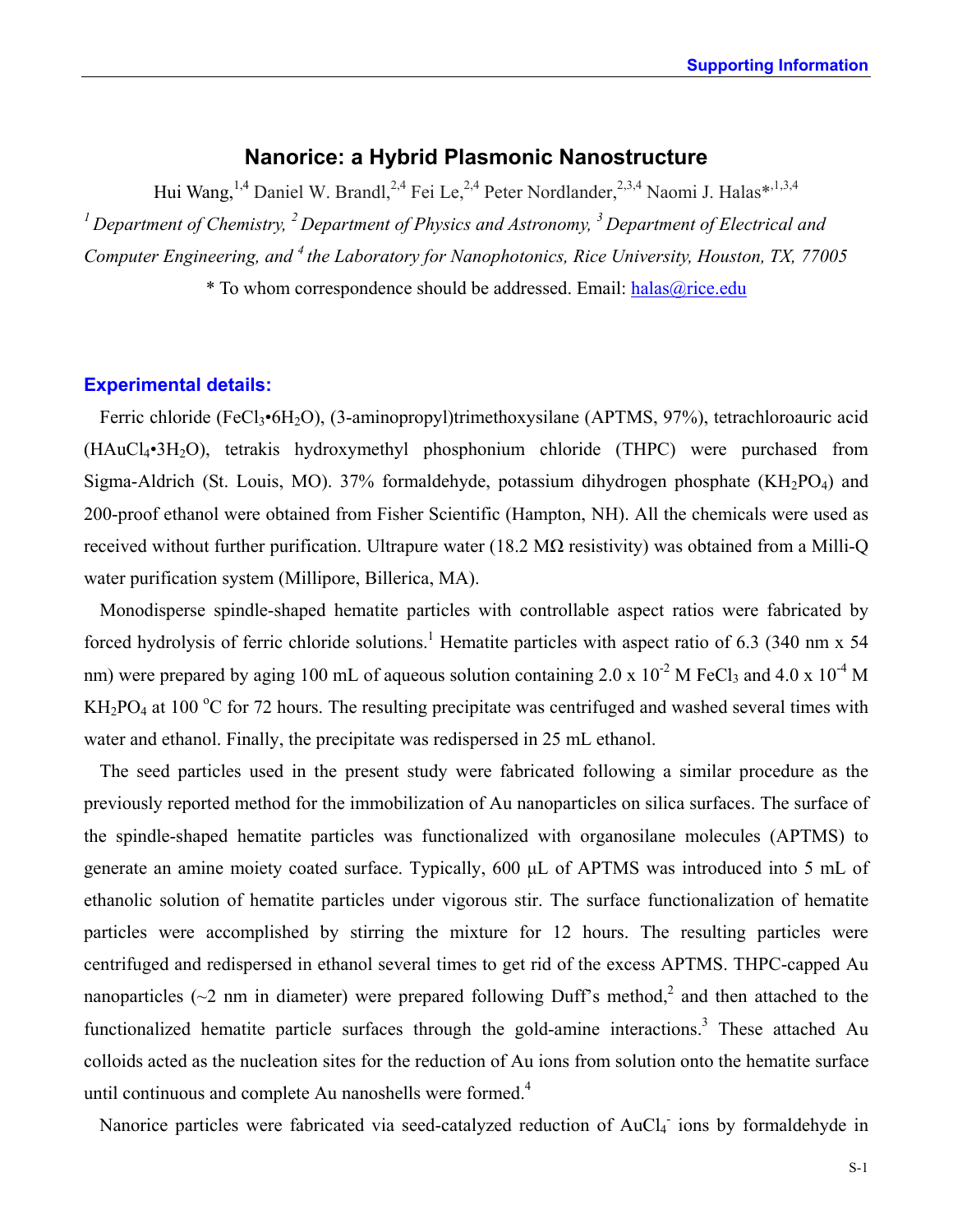# **Nanorice: a Hybrid Plasmonic Nanostructure**

Hui Wang, <sup>1,4</sup> Daniel W. Brandl, <sup>2,4</sup> Fei Le, <sup>2,4</sup> Peter Nordlander, <sup>2,3,4</sup> Naomi J. Halas\*<sup>,1,3,4</sup> *1 Department of Chemistry, 2 Department of Physics and Astronomy, 3 Department of Electrical and Computer Engineering, and 4 the Laboratory for Nanophotonics, Rice University, Houston, TX, 77005* \* To whom correspondence should be addressed. Email: [halas@rice.edu](mailto:halas@rice.edu)

## **Experimental details:**

Ferric chloride (FeCl3•6H2O), (3-aminopropyl)trimethoxysilane (APTMS, 97%), tetrachloroauric acid (HAuCl4•3H2O), tetrakis hydroxymethyl phosphonium chloride (THPC) were purchased from Sigma-Aldrich (St. Louis, MO). 37% formaldehyde, potassium dihydrogen phosphate ( $KH_2PO_4$ ) and 200-proof ethanol were obtained from Fisher Scientific (Hampton, NH). All the chemicals were used as received without further purification. Ultrapure water (18.2  $\text{M}\Omega$  resistivity) was obtained from a Milli-Q water purification system (Millipore, Billerica, MA).

Monodisperse spindle-shaped hematite particles with controllable aspect ratios were fabricated by forced hydrolysis of ferric chloride solutions.<sup>1</sup> Hematite particles with aspect ratio of 6.3 (340 nm x 54) nm) were prepared by aging 100 mL of aqueous solution containing 2.0 x  $10^{-2}$  M FeCl<sub>3</sub> and 4.0 x  $10^{-4}$  M  $KH<sub>2</sub>PO<sub>4</sub>$  at 100 °C for 72 hours. The resulting precipitate was centrifuged and washed several times with water and ethanol. Finally, the precipitate was redispersed in 25 mL ethanol.

The seed particles used in the present study were fabricated following a similar procedure as the previously reported method for the immobilization of Au nanoparticles on silica surfaces. The surface of the spindle-shaped hematite particles was functionalized with organosilane molecules (APTMS) to generate an amine moiety coated surface. Typically, 600 µL of APTMS was introduced into 5 mL of ethanolic solution of hematite particles under vigorous stir. The surface functionalization of hematite particles were accomplished by stirring the mixture for 12 hours. The resulting particles were centrifuged and redispersed in ethanol several times to get rid of the excess APTMS. THPC-capped Au nanoparticles ( $\sim$ 2 nm in diameter) were prepared following Duff's method,<sup>2</sup> and then attached to the functionalized hematite particle surfaces through the gold-amine interactions.<sup>3</sup> These attached Au colloids acted as the nucleation sites for the reduction of Au ions from solution onto the hematite surface until continuous and complete Au nanoshells were formed.<sup>4</sup>

Nanorice particles were fabricated via seed-catalyzed reduction of AuCl<sub>4</sub> ions by formaldehyde in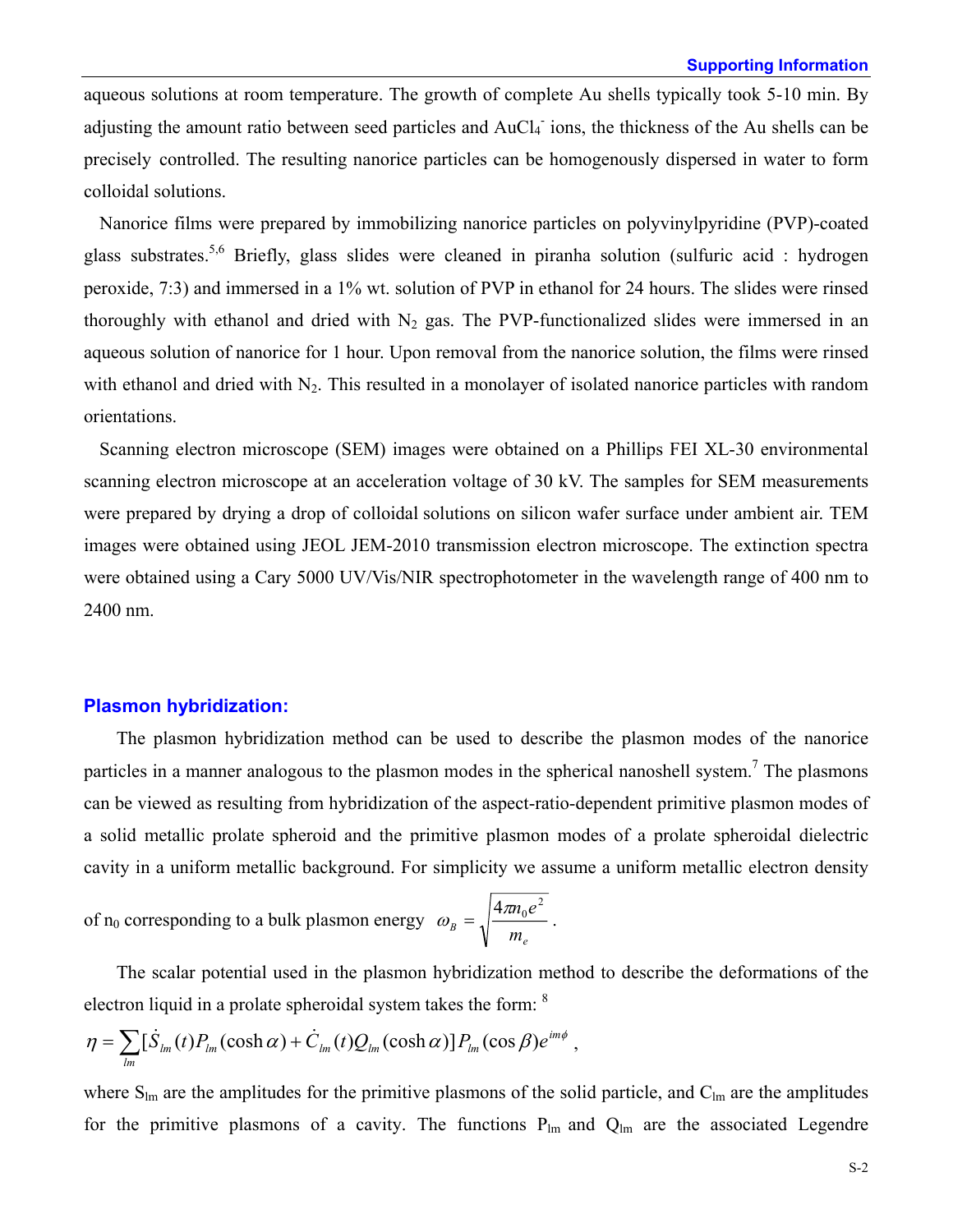aqueous solutions at room temperature. The growth of complete Au shells typically took 5-10 min. By adjusting the amount ratio between seed particles and AuCl<sub>4</sub> ions, the thickness of the Au shells can be precisely controlled. The resulting nanorice particles can be homogenously dispersed in water to form colloidal solutions.

Nanorice films were prepared by immobilizing nanorice particles on polyvinylpyridine (PVP)-coated glass substrates.<sup>5,6</sup> Briefly, glass slides were cleaned in piranha solution (sulfuric acid : hydrogen peroxide, 7:3) and immersed in a 1% wt. solution of PVP in ethanol for 24 hours. The slides were rinsed thoroughly with ethanol and dried with  $N_2$  gas. The PVP-functionalized slides were immersed in an aqueous solution of nanorice for 1 hour. Upon removal from the nanorice solution, the films were rinsed with ethanol and dried with  $N_2$ . This resulted in a monolayer of isolated nanorice particles with random orientations.

Scanning electron microscope (SEM) images were obtained on a Phillips FEI XL-30 environmental scanning electron microscope at an acceleration voltage of 30 kV. The samples for SEM measurements were prepared by drying a drop of colloidal solutions on silicon wafer surface under ambient air. TEM images were obtained using JEOL JEM-2010 transmission electron microscope. The extinction spectra were obtained using a Cary 5000 UV/Vis/NIR spectrophotometer in the wavelength range of 400 nm to 2400 nm.

### **Plasmon hybridization:**

The plasmon hybridization method can be used to describe the plasmon modes of the nanorice particles in a manner analogous to the plasmon modes in the spherical nanoshell system.<sup>7</sup> The plasmons can be viewed as resulting from hybridization of the aspect-ratio-dependent primitive plasmon modes of a solid metallic prolate spheroid and the primitive plasmon modes of a prolate spheroidal dielectric cavity in a uniform metallic background. For simplicity we assume a uniform metallic electron density

of  $n_0$  corresponding to a bulk plasmon energy *e*  $B = \sqrt{m}$  $\omega_{B} = \sqrt{\frac{4\pi n_{0}e^{2}}{2}}$ .

The scalar potential used in the plasmon hybridization method to describe the deformations of the electron liquid in a prolate spheroidal system takes the form: 8

$$
\eta = \sum_{lm} [\dot{S}_{lm}(t)P_{lm}(\cosh\alpha) + \dot{C}_{lm}(t)Q_{lm}(\cosh\alpha)]P_{lm}(\cos\beta)e^{im\phi},
$$

where  $S_{lm}$  are the amplitudes for the primitive plasmons of the solid particle, and  $C_{lm}$  are the amplitudes for the primitive plasmons of a cavity. The functions  $P_{lm}$  and  $Q_{lm}$  are the associated Legendre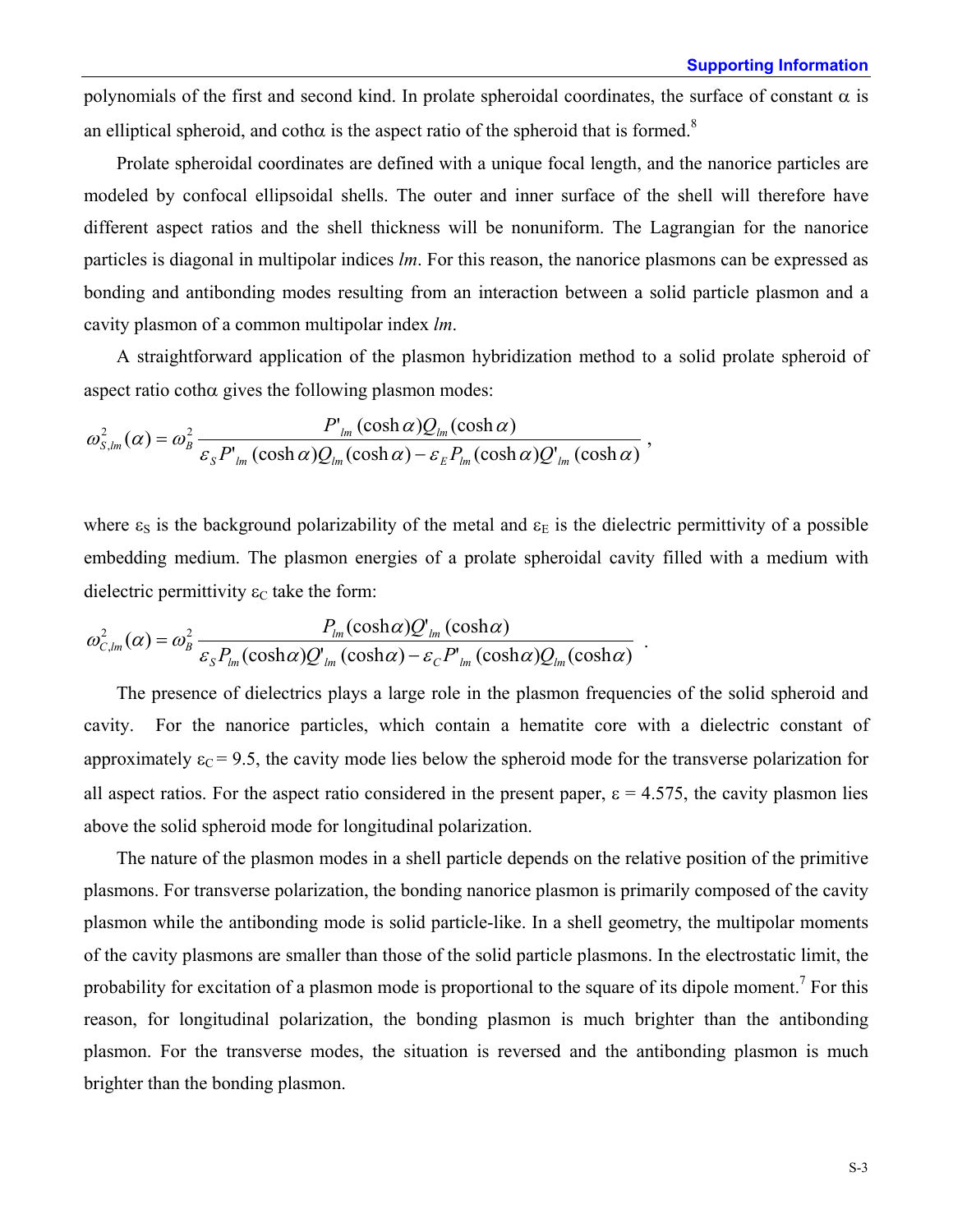polynomials of the first and second kind. In prolate spheroidal coordinates, the surface of constant  $\alpha$  is an elliptical spheroid, and coth $\alpha$  is the aspect ratio of the spheroid that is formed.<sup>8</sup>

Prolate spheroidal coordinates are defined with a unique focal length, and the nanorice particles are modeled by confocal ellipsoidal shells. The outer and inner surface of the shell will therefore have different aspect ratios and the shell thickness will be nonuniform. The Lagrangian for the nanorice particles is diagonal in multipolar indices *lm*. For this reason, the nanorice plasmons can be expressed as bonding and antibonding modes resulting from an interaction between a solid particle plasmon and a cavity plasmon of a common multipolar index *lm*.

A straightforward application of the plasmon hybridization method to a solid prolate spheroid of aspect ratio coth $\alpha$  gives the following plasmon modes:

$$
\omega_{S,\text{lm}}^2(\alpha) = \omega_B^2 \frac{P_{\text{lm}}(\cosh \alpha)Q_{\text{lm}}(\cosh \alpha)}{\varepsilon_S P_{\text{lm}}(\cosh \alpha)Q_{\text{lm}}(\cosh \alpha) - \varepsilon_E P_{\text{lm}}(\cosh \alpha)Q_{\text{lm}}(\cosh \alpha)} ,
$$

where  $\varepsilon_s$  is the background polarizability of the metal and  $\varepsilon_E$  is the dielectric permittivity of a possible embedding medium. The plasmon energies of a prolate spheroidal cavity filled with a medium with dielectric permittivity  $\varepsilon_c$  take the form:

$$
\omega_{C,lm}^2(\alpha) = \omega_B^2 \frac{P_{lm}(\cosh\alpha)Q'_{lm}(\cosh\alpha)}{\varepsilon_S P_{lm}(\cosh\alpha)Q'_{lm}(\cosh\alpha) - \varepsilon_C P'_{lm}(\cosh\alpha)Q_{lm}(\cosh\alpha)}.
$$

The presence of dielectrics plays a large role in the plasmon frequencies of the solid spheroid and cavity. For the nanorice particles, which contain a hematite core with a dielectric constant of approximately  $\varepsilon_c$  = 9.5, the cavity mode lies below the spheroid mode for the transverse polarization for all aspect ratios. For the aspect ratio considered in the present paper,  $\epsilon = 4.575$ , the cavity plasmon lies above the solid spheroid mode for longitudinal polarization.

The nature of the plasmon modes in a shell particle depends on the relative position of the primitive plasmons. For transverse polarization, the bonding nanorice plasmon is primarily composed of the cavity plasmon while the antibonding mode is solid particle-like. In a shell geometry, the multipolar moments of the cavity plasmons are smaller than those of the solid particle plasmons. In the electrostatic limit, the probability for excitation of a plasmon mode is proportional to the square of its dipole moment.<sup>7</sup> For this reason, for longitudinal polarization, the bonding plasmon is much brighter than the antibonding plasmon. For the transverse modes, the situation is reversed and the antibonding plasmon is much brighter than the bonding plasmon.